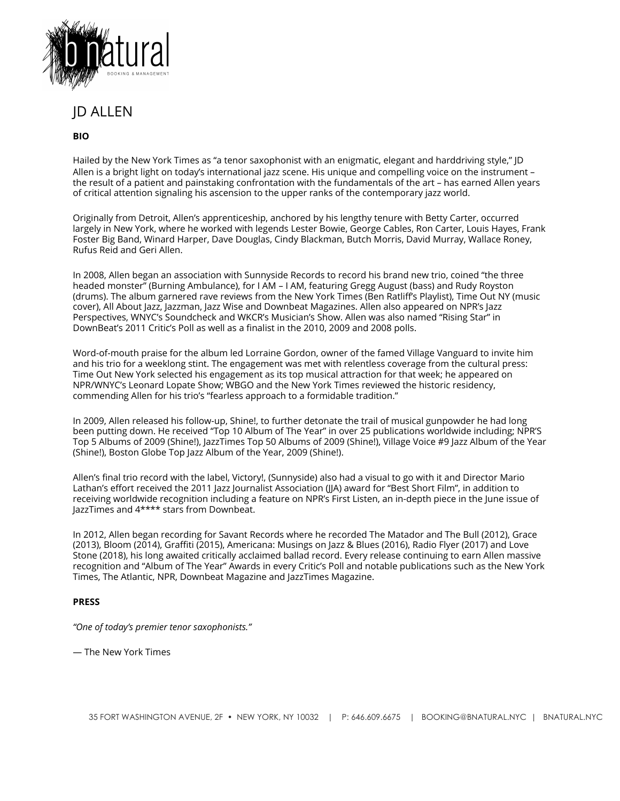

JD ALLEN

## **BIO**

Hailed by the New York Times as "a tenor saxophonist with an enigmatic, elegant and harddriving style," JD Allen is a bright light on today's international jazz scene. His unique and compelling voice on the instrument – the result of a patient and painstaking confrontation with the fundamentals of the art – has earned Allen years of critical attention signaling his ascension to the upper ranks of the contemporary jazz world.

Originally from Detroit, Allen's apprenticeship, anchored by his lengthy tenure with Betty Carter, occurred largely in New York, where he worked with legends Lester Bowie, George Cables, Ron Carter, Louis Hayes, Frank Foster Big Band, Winard Harper, Dave Douglas, Cindy Blackman, Butch Morris, David Murray, Wallace Roney, Rufus Reid and Geri Allen.

In 2008, Allen began an association with Sunnyside Records to record his brand new trio, coined "the three headed monster" (Burning Ambulance), for I AM – I AM, featuring Gregg August (bass) and Rudy Royston (drums). The album garnered rave reviews from the New York Times (Ben Ratliff's Playlist), Time Out NY (music cover), All About Jazz, Jazzman, Jazz Wise and Downbeat Magazines. Allen also appeared on NPR's Jazz Perspectives, WNYC's Soundcheck and WKCR's Musician's Show. Allen was also named "Rising Star" in DownBeat's 2011 Critic's Poll as well as a finalist in the 2010, 2009 and 2008 polls.

Word-of-mouth praise for the album led Lorraine Gordon, owner of the famed Village Vanguard to invite him and his trio for a weeklong stint. The engagement was met with relentless coverage from the cultural press: Time Out New York selected his engagement as its top musical attraction for that week; he appeared on NPR/WNYC's Leonard Lopate Show; WBGO and the New York Times reviewed the historic residency, commending Allen for his trio's "fearless approach to a formidable tradition."

In 2009, Allen released his follow-up, Shine!, to further detonate the trail of musical gunpowder he had long been putting down. He received "Top 10 Album of The Year" in over 25 publications worldwide including; NPR'S Top 5 Albums of 2009 (Shine!), JazzTimes Top 50 Albums of 2009 (Shine!), Village Voice #9 Jazz Album of the Year (Shine!), Boston Globe Top Jazz Album of the Year, 2009 (Shine!).

Allen's final trio record with the label, Victory!, (Sunnyside) also had a visual to go with it and Director Mario Lathan's effort received the 2011 Jazz Journalist Association (JJA) award for "Best Short Film", in addition to receiving worldwide recognition including a feature on NPR's First Listen, an in-depth piece in the June issue of JazzTimes and 4\*\*\*\* stars from Downbeat.

In 2012, Allen began recording for Savant Records where he recorded The Matador and The Bull (2012), Grace (2013), Bloom (2014), Graffiti (2015), Americana: Musings on Jazz & Blues (2016), Radio Flyer (2017) and Love Stone (2018), his long awaited critically acclaimed ballad record. Every release continuing to earn Allen massive recognition and "Album of The Year" Awards in every Critic's Poll and notable publications such as the New York Times, The Atlantic, NPR, Downbeat Magazine and JazzTimes Magazine.

## **PRESS**

*"One of today's premier tenor saxophonists."*

— The New York Times